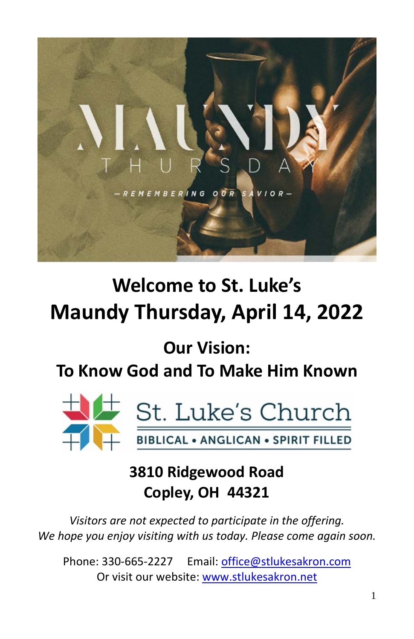

## **Welcome to St. Luke's Maundy Thursday, April 14, 2022**

**Our Vision:**

### **To Know God and To Make Him Known**



### **3810 Ridgewood Road Copley, OH 44321**

*Visitors are not expected to participate in the offering. We hope you enjoy visiting with us today. Please come again soon.* 

Phone: 330-665-2227 Email[: office@stlukesakron.com](mailto:office@stlukesakron.com) Or visit our website: [www.stlukesakron.net](http://www.stlukesakron.net/)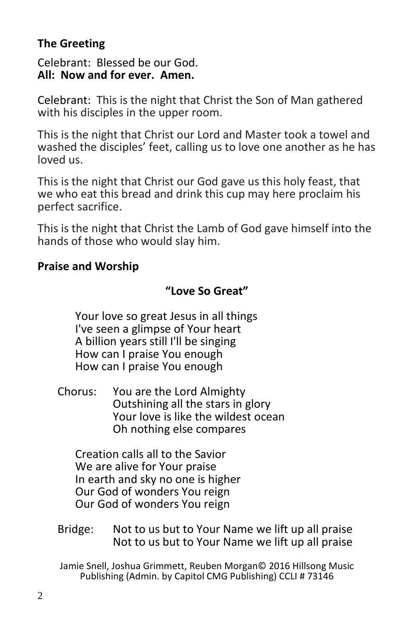#### **The Greeting**

Celebrant: Blessed be our God. **All: Now and for ever. Amen.**

Celebrant: This is the night that Christ the Son of Man gathered with his disciples in the upper room.

This is the night that Christ our Lord and Master took a towel and washed the disciples' feet, calling us to love one another as he has loved us.

This is the night that Christ our God gave us this holy feast, that we who eat this bread and drink this cup may here proclaim his perfect sacrifice.

This is the night that Christ the Lamb of God gave himself into the hands of those who would slay him.

#### **Praise and Worship**

#### **"Love So Great"**

Your love so great Jesus in all things I've seen a glimpse of Your heart A billion years still I'll be singing How can I praise You enough How can I praise You enough

 Chorus: You are the Lord Almighty Outshining all the stars in glory Your love is like the wildest ocean Oh nothing else compares

Creation calls all to the Savior We are alive for Your praise In earth and sky no one is higher Our God of wonders You reign Our God of wonders You reign

 Bridge: Not to us but to Your Name we lift up all praise Not to us but to Your Name we lift up all praise

Jamie Snell, Joshua Grimmett, Reuben Morgan© 2016 Hillsong Music Publishing (Admin. by Capitol CMG Publishing) CCLI # 73146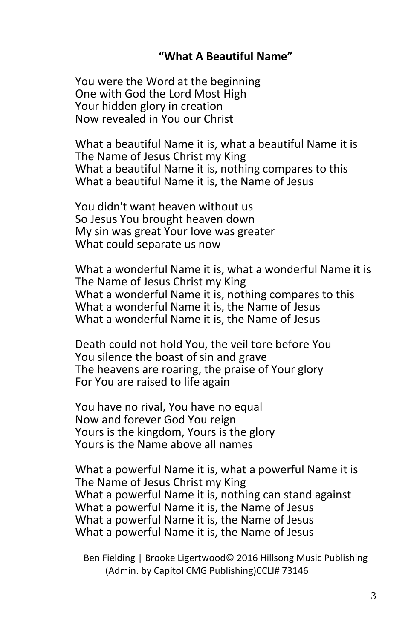#### **"What A Beautiful Name"**

You were the Word at the beginning One with God the Lord Most High Your hidden glory in creation Now revealed in You our Christ

What a beautiful Name it is, what a beautiful Name it is The Name of Jesus Christ my King What a beautiful Name it is, nothing compares to this What a beautiful Name it is, the Name of Jesus

You didn't want heaven without us So Jesus You brought heaven down My sin was great Your love was greater What could separate us now

What a wonderful Name it is, what a wonderful Name it is The Name of Jesus Christ my King What a wonderful Name it is, nothing compares to this What a wonderful Name it is, the Name of Jesus What a wonderful Name it is, the Name of Jesus

Death could not hold You, the veil tore before You You silence the boast of sin and grave The heavens are roaring, the praise of Your glory For You are raised to life again

You have no rival, You have no equal Now and forever God You reign Yours is the kingdom, Yours is the glory Yours is the Name above all names

What a powerful Name it is, what a powerful Name it is The Name of Jesus Christ my King What a powerful Name it is, nothing can stand against What a powerful Name it is, the Name of Jesus What a powerful Name it is, the Name of Jesus What a powerful Name it is, the Name of Jesus

Ben Fielding | Brooke Ligertwood© 2016 Hillsong Music Publishing (Admin. by Capitol CMG Publishing)CCLI# 73146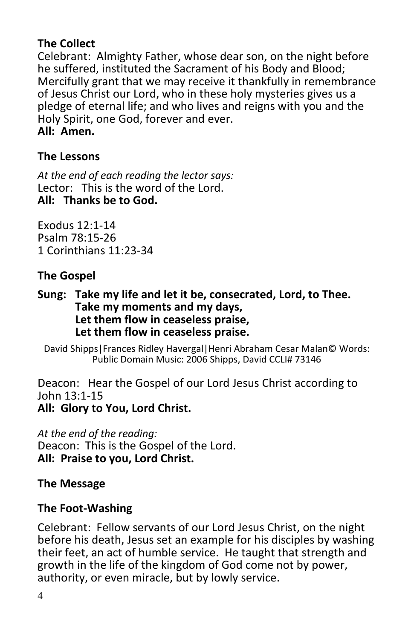#### **The Collect**

Celebrant: Almighty Father, whose dear son, on the night before he suffered, instituted the Sacrament of his Body and Blood; Mercifully grant that we may receive it thankfully in remembrance of Jesus Christ our Lord, who in these holy mysteries gives us a pledge of eternal life; and who lives and reigns with you and the Holy Spirit, one God, forever and ever. **All: Amen.**

#### **The Lessons**

*At the end of each reading the lector says:* Lector: This is the word of the Lord. **All: Thanks be to God.** 

Exodus 12:1-14 Psalm 78:15-26 1 Corinthians 11:23-34

#### **The Gospel**

**Sung: Take my life and let it be, consecrated, Lord, to Thee. Take my moments and my days, Let them flow in ceaseless praise, Let them flow in ceaseless praise.**

David Shipps|Frances Ridley Havergal|Henri Abraham Cesar Malan© Words: Public Domain Music: 2006 Shipps, David CCLI# 73146

Deacon: Hear the Gospel of our Lord Jesus Christ according to John 13:1-15 **All: Glory to You, Lord Christ.**

*At the end of the reading:* Deacon: This is the Gospel of the Lord. **All: Praise to you, Lord Christ.**

#### **The Message**

#### **The Foot-Washing**

Celebrant: Fellow servants of our Lord Jesus Christ, on the night before his death, Jesus set an example for his disciples by washing their feet, an act of humble service. He taught that strength and growth in the life of the kingdom of God come not by power, authority, or even miracle, but by lowly service.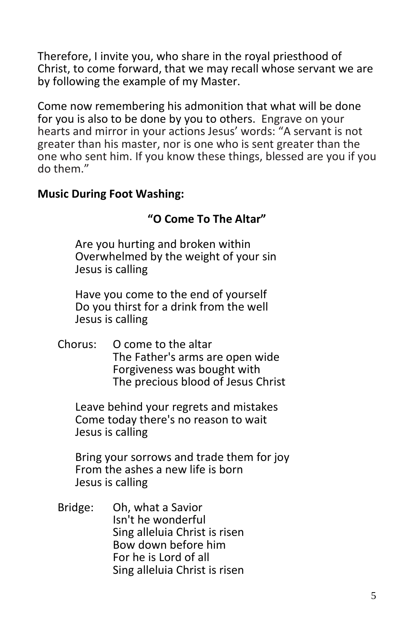Therefore, I invite you, who share in the royal priesthood of Christ, to come forward, that we may recall whose servant we are by following the example of my Master.

Come now remembering his admonition that what will be done for you is also to be done by you to others. Engrave on your hearts and mirror in your actions Jesus' words: "A servant is not greater than his master, nor is one who is sent greater than the one who sent him. If you know these things, blessed are you if you do them."

#### **Music During Foot Washing:**

#### **"O Come To The Altar"**

Are you hurting and broken within Overwhelmed by the weight of your sin Jesus is calling

Have you come to the end of yourself Do you thirst for a drink from the well Jesus is calling

 Chorus: O come to the altar The Father's arms are open wide Forgiveness was bought with The precious blood of Jesus Christ

Leave behind your regrets and mistakes Come today there's no reason to wait Jesus is calling

Bring your sorrows and trade them for joy From the ashes a new life is born Jesus is calling

 Bridge: Oh, what a Savior Isn't he wonderful Sing alleluia Christ is risen Bow down before him For he is Lord of all Sing alleluia Christ is risen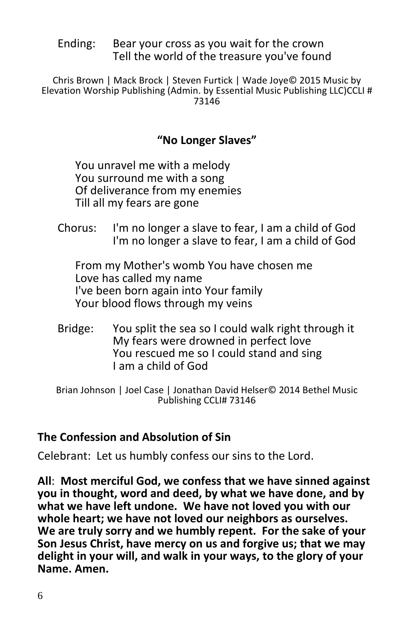#### Ending: Bear your cross as you wait for the crown Tell the world of the treasure you've found

Chris Brown | Mack Brock | Steven Furtick | Wade Joye© 2015 Music by Elevation Worship Publishing (Admin. by Essential Music Publishing LLC)CCLI # 73146

#### **"No Longer Slaves"**

You unravel me with a melody You surround me with a song Of deliverance from my enemies Till all my fears are gone

 Chorus: I'm no longer a slave to fear, I am a child of God I'm no longer a slave to fear, I am a child of God

From my Mother's womb You have chosen me Love has called my name I've been born again into Your family Your blood flows through my veins

 Bridge: You split the sea so I could walk right through it My fears were drowned in perfect love You rescued me so I could stand and sing I am a child of God

Brian Johnson | Joel Case | Jonathan David Helser© 2014 Bethel Music Publishing CCLI# 73146

#### **The Confession and Absolution of Sin**

Celebrant: Let us humbly confess our sins to the Lord.

**All**: **Most merciful God, we confess that we have sinned against you in thought, word and deed, by what we have done, and by what we have left undone. We have not loved you with our whole heart; we have not loved our neighbors as ourselves. We are truly sorry and we humbly repent. For the sake of your Son Jesus Christ, have mercy on us and forgive us; that we may delight in your will, and walk in your ways, to the glory of your Name. Amen.**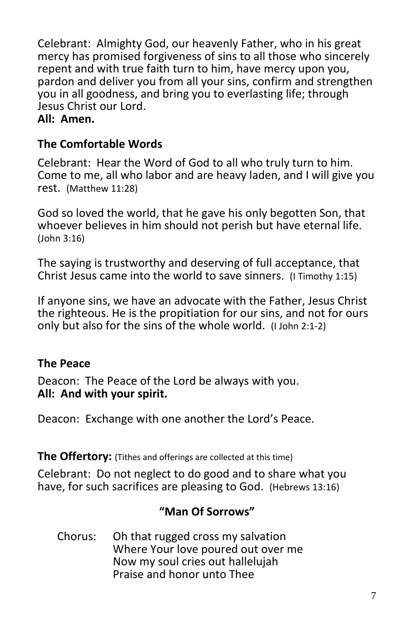Celebrant: Almighty God, our heavenly Father, who in his great mercy has promised forgiveness of sins to all those who sincerely repent and with true faith turn to him, have mercy upon you, pardon and deliver you from all your sins, confirm and strengthen you in all goodness, and bring you to everlasting life; through Jesus Christ our Lord.

#### **All: Amen.**

#### **The Comfortable Words**

Celebrant: Hear the Word of God to all who truly turn to him. Come to me, all who labor and are heavy laden, and I will give you rest. (Matthew 11:28)

God so loved the world, that he gave his only begotten Son, that whoever believes in him should not perish but have eternal life. (John 3:16)

The saying is trustworthy and deserving of full acceptance, that Christ Jesus came into the world to save sinners. (I Timothy 1:15)

If anyone sins, we have an advocate with the Father, Jesus Christ the righteous. He is the propitiation for our sins, and not for ours only but also for the sins of the whole world. (I John 2:1-2)

#### **The Peace**

Deacon:The Peace of the Lord be always with you. **All: And with your spirit.**

Deacon: Exchange with one another the Lord's Peace.

**The Offertory:** (Tithes and offerings are collected at this time)

Celebrant: Do not neglect to do good and to share what you have, for such sacrifices are pleasing to God. (Hebrews 13:16)

#### **"Man Of Sorrows"**

Chorus: Oh that rugged cross my salvation Where Your love poured out over me Now my soul cries out hallelujah Praise and honor unto Thee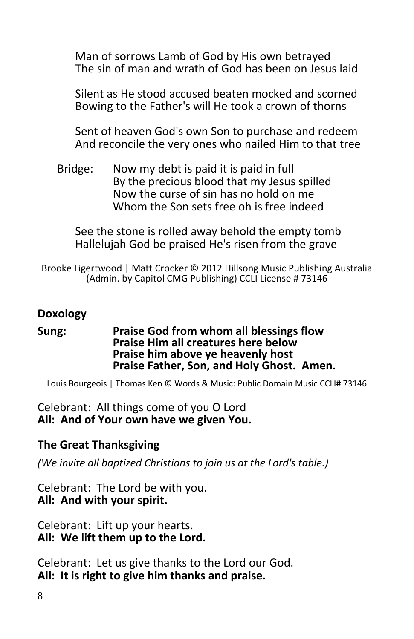Man of sorrows Lamb of God by His own betrayed The sin of man and wrath of God has been on Jesus laid

Silent as He stood accused beaten mocked and scorned Bowing to the Father's will He took a crown of thorns

Sent of heaven God's own Son to purchase and redeem And reconcile the very ones who nailed Him to that tree

Bridge: Now my debt is paid it is paid in full By the precious blood that my Jesus spilled Now the curse of sin has no hold on me Whom the Son sets free oh is free indeed

See the stone is rolled away behold the empty tomb Hallelujah God be praised He's risen from the grave

Brooke Ligertwood | Matt Crocker © 2012 Hillsong Music Publishing Australia (Admin. by Capitol CMG Publishing) CCLI License # 73146

#### **Doxology**

#### **Sung: Praise God from whom all blessings flow Praise Him all creatures here below Praise him above ye heavenly host Praise Father, Son, and Holy Ghost. Amen.**

Louis Bourgeois | Thomas Ken © Words & Music: Public Domain Music CCLI# 73146

Celebrant: All things come of you O Lord **All: And of Your own have we given You.**

#### **The Great Thanksgiving**

*(We invite all baptized Christians to join us at the Lord's table.)*

Celebrant: The Lord be with you. **All: And with your spirit.**

Celebrant: Lift up your hearts. **All: We lift them up to the Lord.**

Celebrant: Let us give thanks to the Lord our God. **All: It is right to give him thanks and praise.**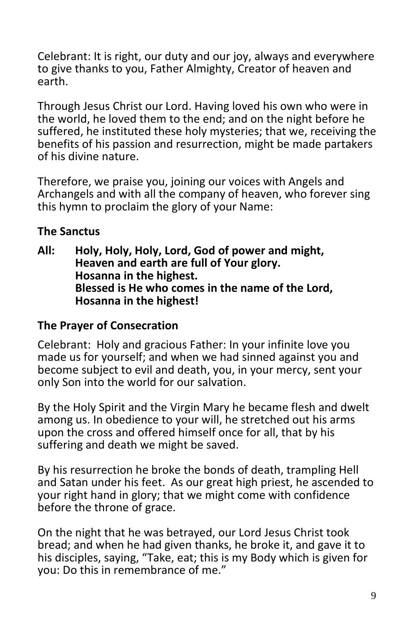Celebrant: It is right, our duty and our joy, always and everywhere to give thanks to you, Father Almighty, Creator of heaven and earth.

Through Jesus Christ our Lord. Having loved his own who were in the world, he loved them to the end; and on the night before he suffered, he instituted these holy mysteries; that we, receiving the benefits of his passion and resurrection, might be made partakers of his divine nature.

Therefore, we praise you, joining our voices with Angels and Archangels and with all the company of heaven, who forever sing this hymn to proclaim the glory of your Name:

#### **The Sanctus**

**All: Holy, Holy, Holy, Lord, God of power and might, Heaven and earth are full of Your glory. Hosanna in the highest. Blessed is He who comes in the name of the Lord, Hosanna in the highest!**

#### **The Prayer of Consecration**

Celebrant: Holy and gracious Father: In your infinite love you made us for yourself; and when we had sinned against you and become subject to evil and death, you, in your mercy, sent your only Son into the world for our salvation.

By the Holy Spirit and the Virgin Mary he became flesh and dwelt among us. In obedience to your will, he stretched out his arms upon the cross and offered himself once for all, that by his suffering and death we might be saved.

By his resurrection he broke the bonds of death, trampling Hell and Satan under his feet. As our great high priest, he ascended to your right hand in glory; that we might come with confidence before the throne of grace.

On the night that he was betrayed, our Lord Jesus Christ took bread; and when he had given thanks, he broke it, and gave it to his disciples, saying, "Take, eat; this is my Body which is given for you: Do this in remembrance of me."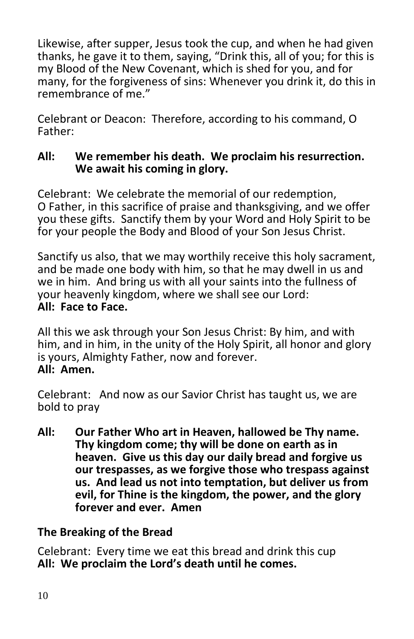Likewise, after supper, Jesus took the cup, and when he had given thanks, he gave it to them, saying, "Drink this, all of you; for this is my Blood of the New Covenant, which is shed for you, and for many, for the forgiveness of sins: Whenever you drink it, do this in remembrance of me."

Celebrant or Deacon: Therefore, according to his command, O Father:

# **All: We remember his death. We proclaim his resurrection. We await his coming in glory.**

Celebrant: We celebrate the memorial of our redemption, O Father, in this sacrifice of praise and thanksgiving, and we offer you these gifts. Sanctify them by your Word and Holy Spirit to be for your people the Body and Blood of your Son Jesus Christ.

Sanctify us also, that we may worthily receive this holy sacrament, and be made one body with him, so that he may dwell in us and we in him. And bring us with all your saints into the fullness of your heavenly kingdom, where we shall see our Lord: **All: Face to Face.**

All this we ask through your Son Jesus Christ: By him, and with him, and in him, in the unity of the Holy Spirit, all honor and glory is yours, Almighty Father, now and forever. **All: Amen.**

Celebrant: And now as our Savior Christ has taught us, we are bold to pray

**All: Our Father Who art in Heaven, hallowed be Thy name. Thy kingdom come; thy will be done on earth as in heaven. Give us this day our daily bread and forgive us our trespasses, as we forgive those who trespass against us. And lead us not into temptation, but deliver us from evil, for Thine is the kingdom, the power, and the glory forever and ever. Amen**

#### **The Breaking of the Bread**

Celebrant: Every time we eat this bread and drink this cup **All: We proclaim the Lord's death until he comes.**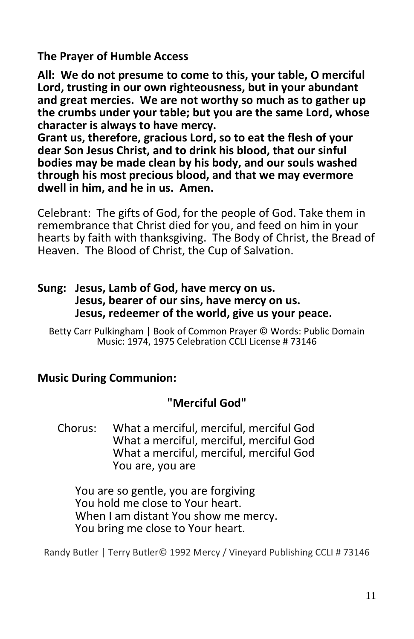**The Prayer of Humble Access**

**All: We do not presume to come to this, your table, O merciful Lord, trusting in our own righteousness, but in your abundant and great mercies. We are not worthy so much as to gather up the crumbs under your table; but you are the same Lord, whose character is always to have mercy.** 

**Grant us, therefore, gracious Lord, so to eat the flesh of your dear Son Jesus Christ, and to drink his blood, that our sinful bodies may be made clean by his body, and our souls washed through his most precious blood, and that we may evermore dwell in him, and he in us. Amen.**

Celebrant: The gifts of God, for the people of God. Take them in remembrance that Christ died for you, and feed on him in your hearts by faith with thanksgiving. The Body of Christ, the Bread of Heaven. The Blood of Christ, the Cup of Salvation.

#### **Sung: Jesus, Lamb of God, have mercy on us. Jesus, bearer of our sins, have mercy on us. Jesus, redeemer of the world, give us your peace.**

Betty Carr Pulkingham | Book of Common Prayer © Words: Public Domain Music: 1974, 1975 Celebration CCLI License # 73146

#### **Music During Communion:**

#### **"Merciful God"**

 Chorus: What a merciful, merciful, merciful God What a merciful, merciful, merciful God What a merciful, merciful, merciful God You are, you are

You are so gentle, you are forgiving You hold me close to Your heart. When I am distant You show me mercy. You bring me close to Your heart.

Randy Butler | Terry Butler© 1992 Mercy / Vineyard Publishing CCLI # 73146